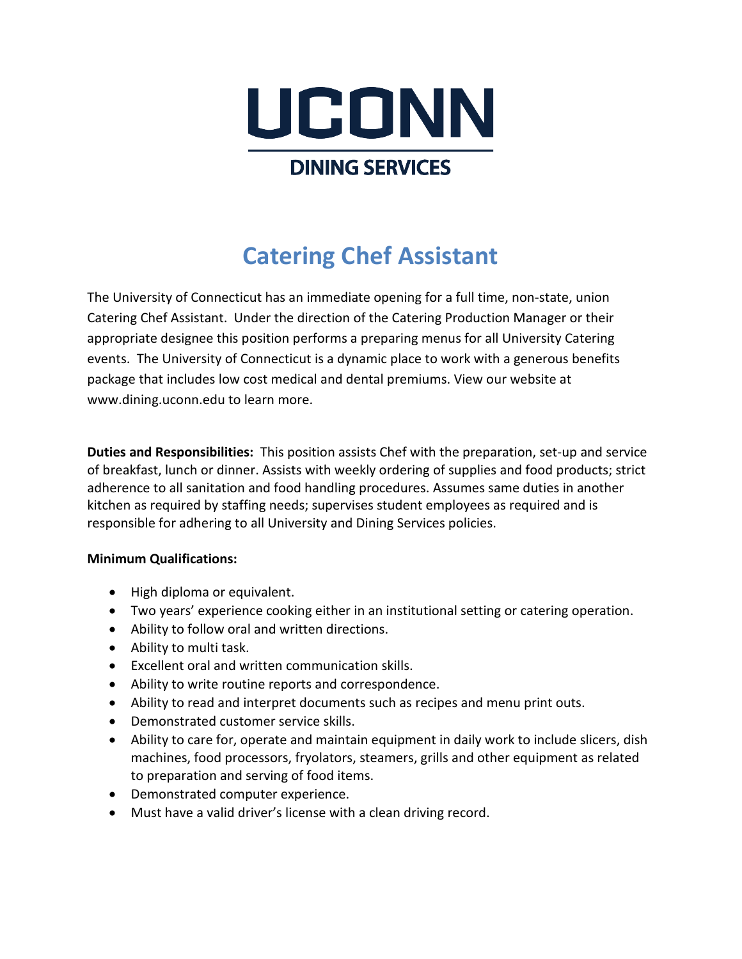

# **Catering Chef Assistant**

The University of Connecticut has an immediate opening for a full time, non-state, union Catering Chef Assistant. Under the direction of the Catering Production Manager or their appropriate designee this position performs a preparing menus for all University Catering events. The University of Connecticut is a dynamic place to work with a generous benefits package that includes low cost medical and dental premiums. View our website at www.dining.uconn.edu to learn more.

**Duties and Responsibilities:** This position assists Chef with the preparation, set-up and service of breakfast, lunch or dinner. Assists with weekly ordering of supplies and food products; strict adherence to all sanitation and food handling procedures. Assumes same duties in another kitchen as required by staffing needs; supervises student employees as required and is responsible for adhering to all University and Dining Services policies.

### **Minimum Qualifications:**

- High diploma or equivalent.
- Two years' experience cooking either in an institutional setting or catering operation.
- Ability to follow oral and written directions.
- Ability to multi task.
- Excellent oral and written communication skills.
- Ability to write routine reports and correspondence.
- Ability to read and interpret documents such as recipes and menu print outs.
- Demonstrated customer service skills.
- Ability to care for, operate and maintain equipment in daily work to include slicers, dish machines, food processors, fryolators, steamers, grills and other equipment as related to preparation and serving of food items.
- Demonstrated computer experience.
- Must have a valid driver's license with a clean driving record.